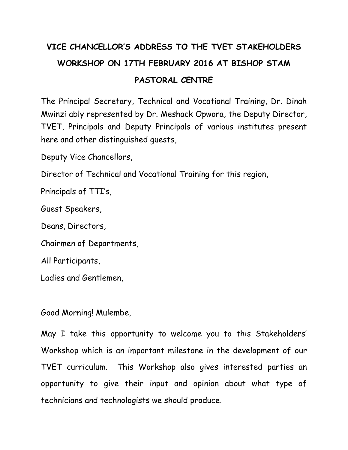## **VICE CHANCELLOR'S ADDRESS TO THE TVET STAKEHOLDERS WORKSHOP ON 17TH FEBRUARY 2016 AT BISHOP STAM PASTORAL CENTRE**

The Principal Secretary, Technical and Vocational Training, Dr. Dinah Mwinzi ably represented by Dr. Meshack Opwora, the Deputy Director, TVET, Principals and Deputy Principals of various institutes present here and other distinguished guests,

Deputy Vice Chancellors,

Director of Technical and Vocational Training for this region,

Principals of TTI's,

Guest Speakers,

Deans, Directors,

Chairmen of Departments,

All Participants,

Ladies and Gentlemen,

Good Morning! Mulembe,

May I take this opportunity to welcome you to this Stakeholders' Workshop which is an important milestone in the development of our TVET curriculum. This Workshop also gives interested parties an opportunity to give their input and opinion about what type of technicians and technologists we should produce.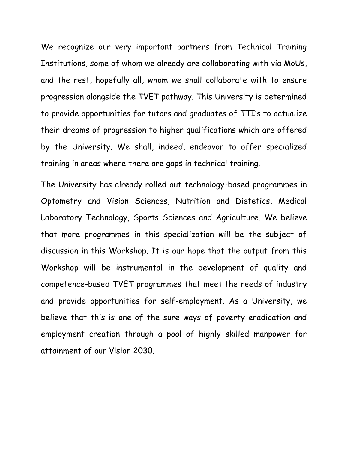We recognize our very important partners from Technical Training Institutions, some of whom we already are collaborating with via MoUs, and the rest, hopefully all, whom we shall collaborate with to ensure progression alongside the TVET pathway. This University is determined to provide opportunities for tutors and graduates of TTI's to actualize their dreams of progression to higher qualifications which are offered by the University. We shall, indeed, endeavor to offer specialized training in areas where there are gaps in technical training.

The University has already rolled out technology-based programmes in Optometry and Vision Sciences, Nutrition and Dietetics, Medical Laboratory Technology, Sports Sciences and Agriculture. We believe that more programmes in this specialization will be the subject of discussion in this Workshop. It is our hope that the output from this Workshop will be instrumental in the development of quality and competence-based TVET programmes that meet the needs of industry and provide opportunities for self-employment. As a University, we believe that this is one of the sure ways of poverty eradication and employment creation through a pool of highly skilled manpower for attainment of our Vision 2030.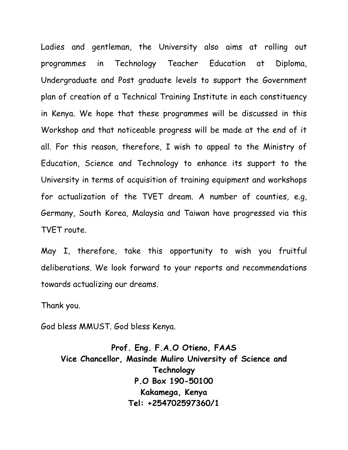Ladies and gentleman, the University also aims at rolling out programmes in Technology Teacher Education at Diploma, Undergraduate and Post graduate levels to support the Government plan of creation of a Technical Training Institute in each constituency in Kenya. We hope that these programmes will be discussed in this Workshop and that noticeable progress will be made at the end of it all. For this reason, therefore, I wish to appeal to the Ministry of Education, Science and Technology to enhance its support to the University in terms of acquisition of training equipment and workshops for actualization of the TVET dream. A number of counties, e.g, Germany, South Korea, Malaysia and Taiwan have progressed via this TVET route.

May I, therefore, take this opportunity to wish you fruitful deliberations. We look forward to your reports and recommendations towards actualizing our dreams.

Thank you.

God bless MMUST. God bless Kenya.

**Prof. Eng. F.A.O Otieno, FAAS Vice Chancellor, Masinde Muliro University of Science and Technology P.O Box 190-50100 Kakamega, Kenya Tel: +254702597360/1**